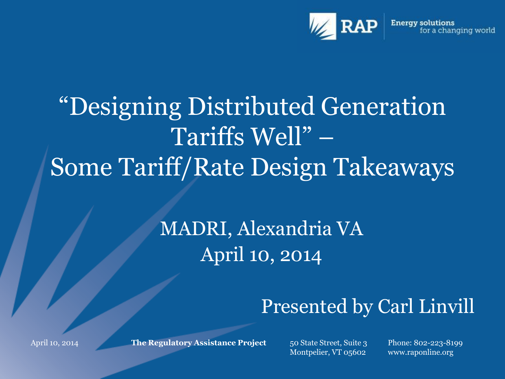

# "Designing Distributed Generation Tariffs Well" – Some Tariff/Rate Design Takeaways

#### MADRI, Alexandria VA April 10, 2014

#### Presented by Carl Linvill

**The Regulatory Assistance Project** 50 State Street, Suite 3

Montpelier, VT 05602

Phone: 802-223-8199 www.raponline.org

April 10, 2014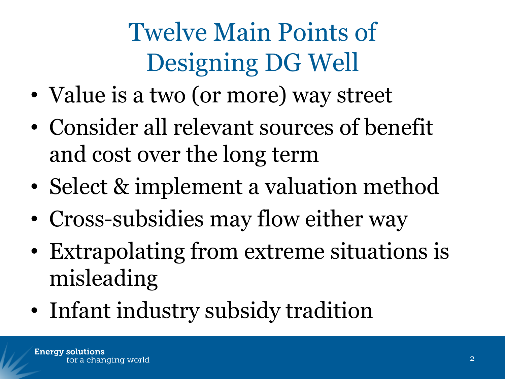# Twelve Main Points of Designing DG Well

- Value is a two (or more) way street
- Consider all relevant sources of benefit and cost over the long term
- Select & implement a valuation method
- Cross-subsidies may flow either way
- Extrapolating from extreme situations is misleading
- Infant industry subsidy tradition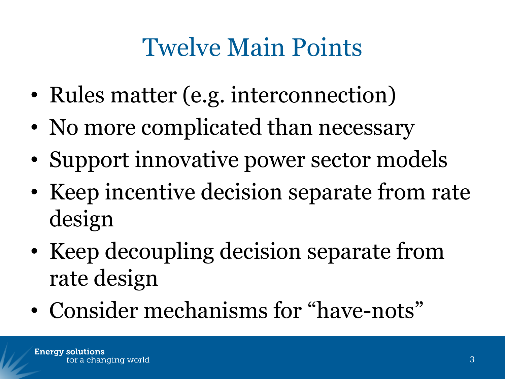## Twelve Main Points

- Rules matter (e.g. interconnection)
- No more complicated than necessary
- Support innovative power sector models
- Keep incentive decision separate from rate design
- Keep decoupling decision separate from rate design
- Consider mechanisms for "have-nots"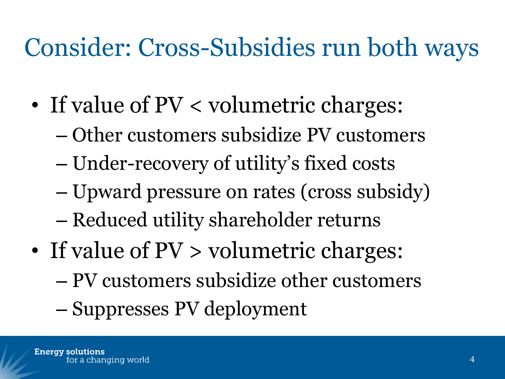### Consider: Cross-Subsidies run both ways

- If value of PV < volumetric charges:
	- Other customers subsidize PV customers
	- Under-recovery of utility's fixed costs
	- Upward pressure on rates (cross subsidy)
	- Reduced utility shareholder returns
- If value of  $PV >$  volumetric charges:
	- PV customers subsidize other customers
	- Suppresses PV deployment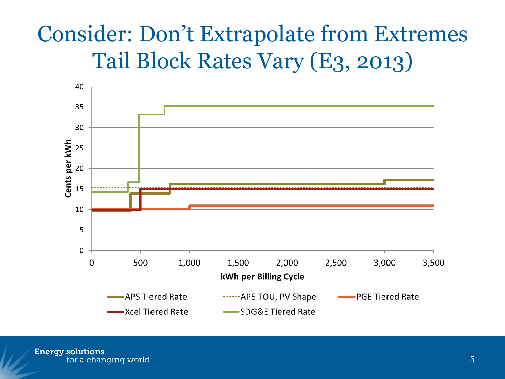#### Consider: Don't Extrapolate from Extremes Tail Block Rates Vary (E3, 2013)



**Energy solutions** for a changing world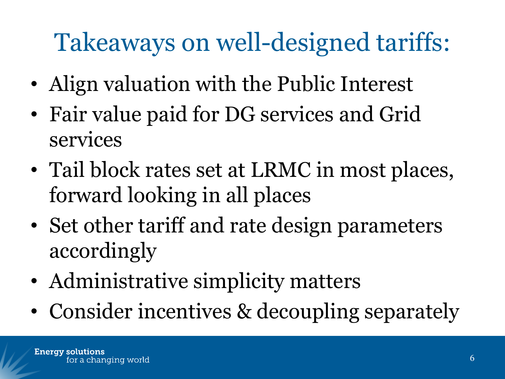# Takeaways on well-designed tariffs:

- Align valuation with the Public Interest
- Fair value paid for DG services and Grid services
- Tail block rates set at LRMC in most places, forward looking in all places
- Set other tariff and rate design parameters accordingly
- Administrative simplicity matters
- Consider incentives & decoupling separately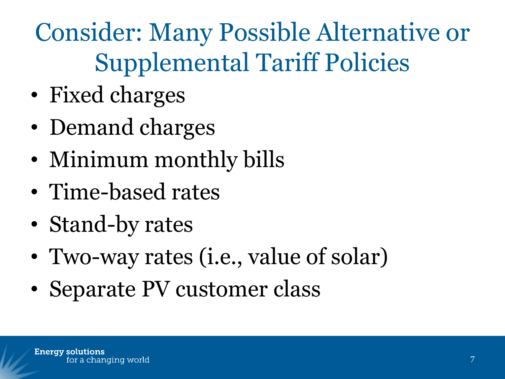Consider: Many Possible Alternative or Supplemental Tariff Policies

- Fixed charges
- Demand charges
- Minimum monthly bills
- Time-based rates
- Stand-by rates
- Two-way rates (i.e., value of solar)
- Separate PV customer class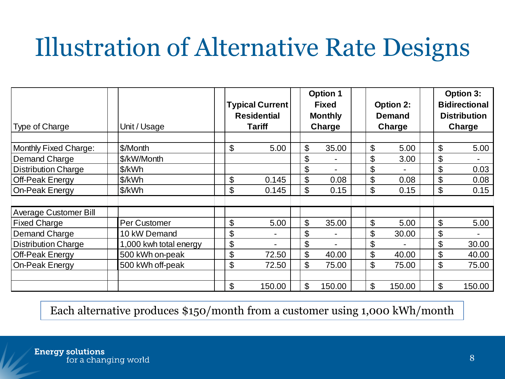## Illustration of Alternative Rate Designs

|                            |                        | <b>Typical Current</b><br><b>Residential</b> |        | <b>Option 1</b><br><b>Fixed</b><br><b>Monthly</b> |                |        | <b>Option 2:</b><br><b>Demand</b> |        | <b>Option 3:</b><br><b>Bidirectional</b><br><b>Distribution</b> |        |  |
|----------------------------|------------------------|----------------------------------------------|--------|---------------------------------------------------|----------------|--------|-----------------------------------|--------|-----------------------------------------------------------------|--------|--|
| <b>Type of Charge</b>      | Unit / Usage           | Tariff                                       |        | Charge                                            |                | Charge |                                   | Charge |                                                                 |        |  |
| Monthly Fixed Charge:      | \$/Month               | \$                                           | 5.00   | \$                                                | 35.00          |        | \$                                | 5.00   | \$                                                              | 5.00   |  |
| Demand Charge              | \$/kW/Month            |                                              |        | \$                                                | $\blacksquare$ |        | \$                                | 3.00   | \$                                                              |        |  |
| <b>Distribution Charge</b> | \$/kWh                 |                                              |        | \$                                                | $\blacksquare$ |        | \$                                |        | \$                                                              | 0.03   |  |
| <b>Off-Peak Energy</b>     | \$/kWh                 | \$                                           | 0.145  | \$                                                | 0.08           |        | \$                                | 0.08   | \$                                                              | 0.08   |  |
| <b>On-Peak Energy</b>      | \$/kWh                 | \$                                           | 0.145  | \$                                                | 0.15           |        | \$                                | 0.15   | \$                                                              | 0.15   |  |
|                            |                        |                                              |        |                                                   |                |        |                                   |        |                                                                 |        |  |
| Average Customer Bill      |                        |                                              |        |                                                   |                |        |                                   |        |                                                                 |        |  |
| <b>Fixed Charge</b>        | Per Customer           | \$                                           | 5.00   | \$                                                | 35.00          |        | \$                                | 5.00   | \$                                                              | 5.00   |  |
| Demand Charge              | 10 kW Demand           | \$                                           |        | \$                                                | $\blacksquare$ |        | \$                                | 30.00  | \$                                                              |        |  |
| Distribution Charge        | 1,000 kwh total energy | \$                                           |        | \$                                                |                |        | \$                                |        | \$                                                              | 30.00  |  |
| <b>Off-Peak Energy</b>     | 500 kWh on-peak        | \$                                           | 72.50  | \$                                                | 40.00          |        | \$                                | 40.00  | \$                                                              | 40.00  |  |
| On-Peak Energy             | 500 kWh off-peak       | \$                                           | 72.50  | \$                                                | 75.00          |        | \$                                | 75.00  | \$                                                              | 75.00  |  |
|                            |                        |                                              |        |                                                   |                |        |                                   |        |                                                                 |        |  |
|                            |                        | \$                                           | 150.00 | \$                                                | 150.00         |        | \$                                | 150.00 | \$                                                              | 150.00 |  |

Each alternative produces \$150/month from a customer using 1,000 kWh/month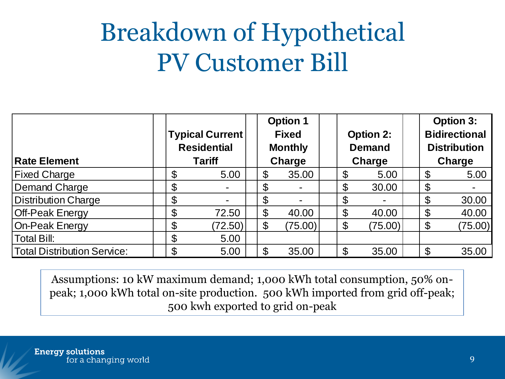#### Breakdown of Hypothetical PV Customer Bill

| <b>Rate Element</b>         | <b>Typical Current</b><br><b>Residential</b><br><b>Tariff</b> |                       | <b>Option 1</b><br><b>Fixed</b><br><b>Monthly</b><br><b>Charge</b> | <b>Option 2:</b><br><b>Demand</b><br>Charge |         | <b>Option 3:</b><br><b>Bidirectional</b><br><b>Distribution</b><br>Charge |         |
|-----------------------------|---------------------------------------------------------------|-----------------------|--------------------------------------------------------------------|---------------------------------------------|---------|---------------------------------------------------------------------------|---------|
| <b>Fixed Charge</b>         | \$<br>5.00                                                    | \$                    | 35.00                                                              | \$                                          | 5.00    | $\mathfrak{F}$                                                            | 5.00    |
| <b>Demand Charge</b>        | \$                                                            | \$                    |                                                                    | $\boldsymbol{\theta}$                       | 30.00   | $\boldsymbol{\mathsf{\$}}$                                                |         |
| <b>Distribution Charge</b>  | \$<br>$\blacksquare$                                          | \$                    |                                                                    | \$                                          |         | $\mathfrak{L}$                                                            | 30.00   |
| <b>Off-Peak Energy</b>      | \$<br>72.50                                                   | $\boldsymbol{\theta}$ | 40.00                                                              | $\boldsymbol{\theta}$                       | 40.00   | $\mathfrak{L}$                                                            | 40.00   |
| On-Peak Energy              | \$<br>(72.50)                                                 | $\boldsymbol{\theta}$ | (75.00)                                                            | $\boldsymbol{\theta}$                       | (75.00) | $\boldsymbol{\theta}$                                                     | (75.00) |
| <b>Total Bill:</b>          | \$<br>5.00                                                    |                       |                                                                    |                                             |         |                                                                           |         |
| Total Distribution Service: | \$<br>5.00                                                    | \$                    | 35.00                                                              | $\mathcal{C}$                               | 35.00   | $\mathfrak{L}$                                                            | 35.00   |

Assumptions: 10 kW maximum demand; 1,000 kWh total consumption, 50% onpeak; 1,000 kWh total on-site production. 500 kWh imported from grid off-peak; 500 kwh exported to grid on-peak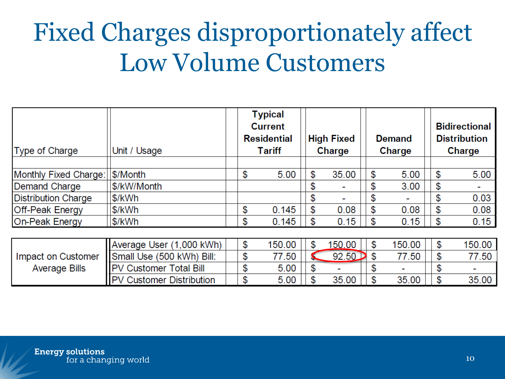### Fixed Charges disproportionately affect Low Volume Customers

| Type of Charge             | Unit / Usage                    | <b>Typical</b><br><b>Current</b><br><b>Residential</b><br><b>Tariff</b> |        | <b>High Fixed</b><br>Charge |        |    | <b>Demand</b><br>Charge | <b>Bidirectional</b><br><b>Distribution</b><br>Charge |        |  |
|----------------------------|---------------------------------|-------------------------------------------------------------------------|--------|-----------------------------|--------|----|-------------------------|-------------------------------------------------------|--------|--|
|                            |                                 |                                                                         |        |                             |        |    |                         |                                                       |        |  |
| Monthly Fixed Charge:      | \$/Month                        | \$                                                                      | 5.00   | \$                          | 35.00  | \$ | 5.00                    | \$                                                    | 5.00   |  |
| Demand Charge              | \$/kW/Month                     |                                                                         |        | \$                          |        | \$ | 3.00                    | \$                                                    |        |  |
| <b>Distribution Charge</b> | \$/kWh                          |                                                                         |        | \$                          |        | \$ |                         | \$                                                    | 0.03   |  |
| <b>Off-Peak Energy</b>     | \$/kWh                          | \$                                                                      | 0.145  | \$                          | 0.08   | \$ | 0.08                    | \$                                                    | 0.08   |  |
| <b>On-Peak Energy</b>      | \$/kWh                          | \$                                                                      | 0.145  | \$                          | 0.15   | \$ | 0.15                    | \$                                                    | 0.15   |  |
|                            |                                 |                                                                         |        |                             |        |    |                         |                                                       |        |  |
|                            | Average User (1,000 kWh)        | \$                                                                      | 150.00 | \$                          | 150.00 | \$ | 150.00                  | \$                                                    | 150.00 |  |
| Impact on Customer         | Small Use (500 kWh) Bill:       | \$                                                                      | 77.50  |                             | 92.50  | \$ | 77.50                   | \$                                                    | 77.50  |  |
| <b>Average Bills</b>       | <b>PV Customer Total Bill</b>   | \$                                                                      | 5.00   | \$                          |        | \$ |                         | \$                                                    |        |  |
|                            | <b>PV Customer Distribution</b> | \$                                                                      | 5.00   | \$                          | 35.00  | \$ | 35.00                   | \$                                                    | 35.00  |  |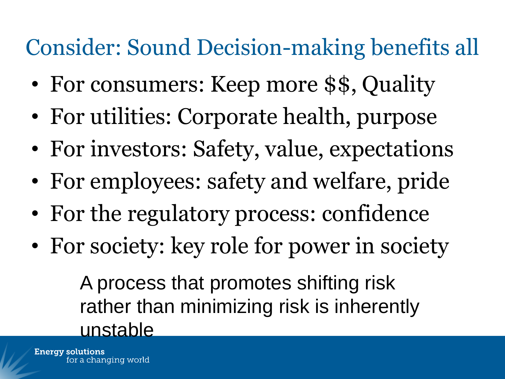#### Consider: Sound Decision-making benefits all

- For consumers: Keep more \$\$, Quality
- For utilities: Corporate health, purpose
- For investors: Safety, value, expectations
- For employees: safety and welfare, pride
- For the regulatory process: confidence
- For society: key role for power in society

A process that promotes shifting risk rather than minimizing risk is inherently unstable

**Energy solutions** for a changing world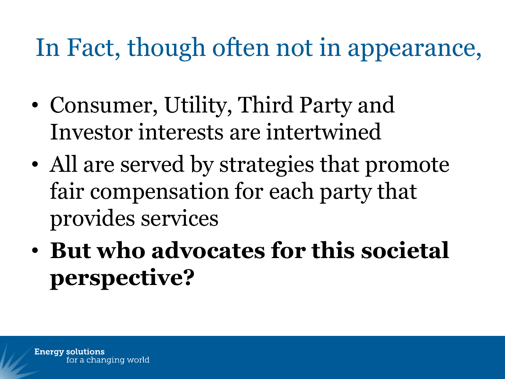#### In Fact, though often not in appearance,

- Consumer, Utility, Third Party and Investor interests are intertwined
- All are served by strategies that promote fair compensation for each party that provides services
- **But who advocates for this societal perspective?**